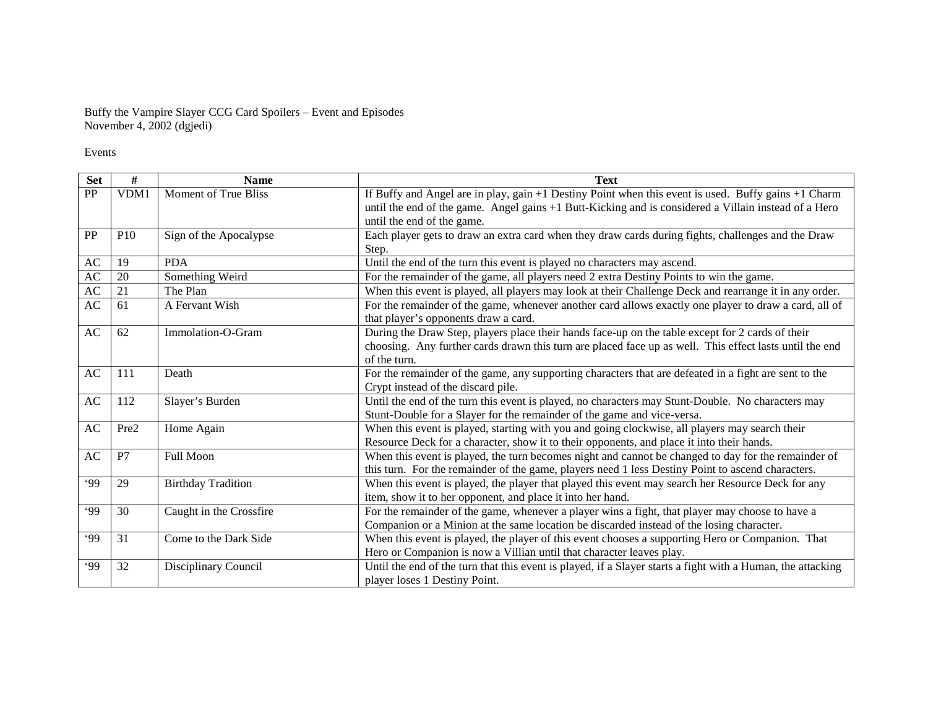Buffy the Vampire Slayer CCG Card Spoilers – Event and Episodes November 4, 2002 (dgjedi)

Events

| <b>Set</b>             | #          | <b>Name</b>                 | <b>Text</b>                                                                                                 |  |
|------------------------|------------|-----------------------------|-------------------------------------------------------------------------------------------------------------|--|
| PP                     | VDM1       | <b>Moment of True Bliss</b> | If Buffy and Angel are in play, gain $+1$ Destiny Point when this event is used. Buffy gains $+1$ Charm     |  |
|                        |            |                             | until the end of the game. Angel gains +1 Butt-Kicking and is considered a Villain instead of a Hero        |  |
|                        |            |                             | until the end of the game.                                                                                  |  |
| PP                     | <b>P10</b> | Sign of the Apocalypse      | Each player gets to draw an extra card when they draw cards during fights, challenges and the Draw          |  |
|                        |            |                             | Step.                                                                                                       |  |
| AC                     | 19         | <b>PDA</b>                  | Until the end of the turn this event is played no characters may ascend.                                    |  |
| $\mathbf{A}\mathbf{C}$ | 20         | Something Weird             | For the remainder of the game, all players need 2 extra Destiny Points to win the game.                     |  |
| $\mathbf{A}\mathbf{C}$ | 21         | The Plan                    | When this event is played, all players may look at their Challenge Deck and rearrange it in any order.      |  |
| AC                     | 61         | A Fervant Wish              | For the remainder of the game, whenever another card allows exactly one player to draw a card, all of       |  |
|                        |            |                             | that player's opponents draw a card.                                                                        |  |
| AC                     | 62         | Immolation-O-Gram           | During the Draw Step, players place their hands face-up on the table except for 2 cards of their            |  |
|                        |            |                             | choosing. Any further cards drawn this turn are placed face up as well. This effect lasts until the end     |  |
|                        |            |                             | of the turn.                                                                                                |  |
| AC                     | 111        | Death                       | For the remainder of the game, any supporting characters that are defeated in a fight are sent to the       |  |
|                        |            |                             | Crypt instead of the discard pile.                                                                          |  |
| AC                     | 112        | Slayer's Burden             | Until the end of the turn this event is played, no characters may Stunt-Double. No characters may           |  |
|                        |            |                             | Stunt-Double for a Slayer for the remainder of the game and vice-versa.                                     |  |
| AC                     | Pre2       | Home Again                  | When this event is played, starting with you and going clockwise, all players may search their              |  |
|                        |            |                             | Resource Deck for a character, show it to their opponents, and place it into their hands.                   |  |
| AC                     | P7         | Full Moon                   | When this event is played, the turn becomes night and cannot be changed to day for the remainder of         |  |
|                        |            |                             | this turn. For the remainder of the game, players need 1 less Destiny Point to ascend characters.           |  |
| .99                    | 29         | <b>Birthday Tradition</b>   | When this event is played, the player that played this event may search her Resource Deck for any           |  |
|                        |            |                             | item, show it to her opponent, and place it into her hand.                                                  |  |
| .99                    | 30         | Caught in the Crossfire     | For the remainder of the game, whenever a player wins a fight, that player may choose to have a             |  |
|                        |            |                             | Companion or a Minion at the same location be discarded instead of the losing character.                    |  |
| .99                    | 31         | Come to the Dark Side       | When this event is played, the player of this event chooses a supporting Hero or Companion. That            |  |
|                        |            |                             | Hero or Companion is now a Villian until that character leaves play.                                        |  |
| .99                    | 32         | Disciplinary Council        | Until the end of the turn that this event is played, if a Slayer starts a fight with a Human, the attacking |  |
|                        |            |                             | player loses 1 Destiny Point.                                                                               |  |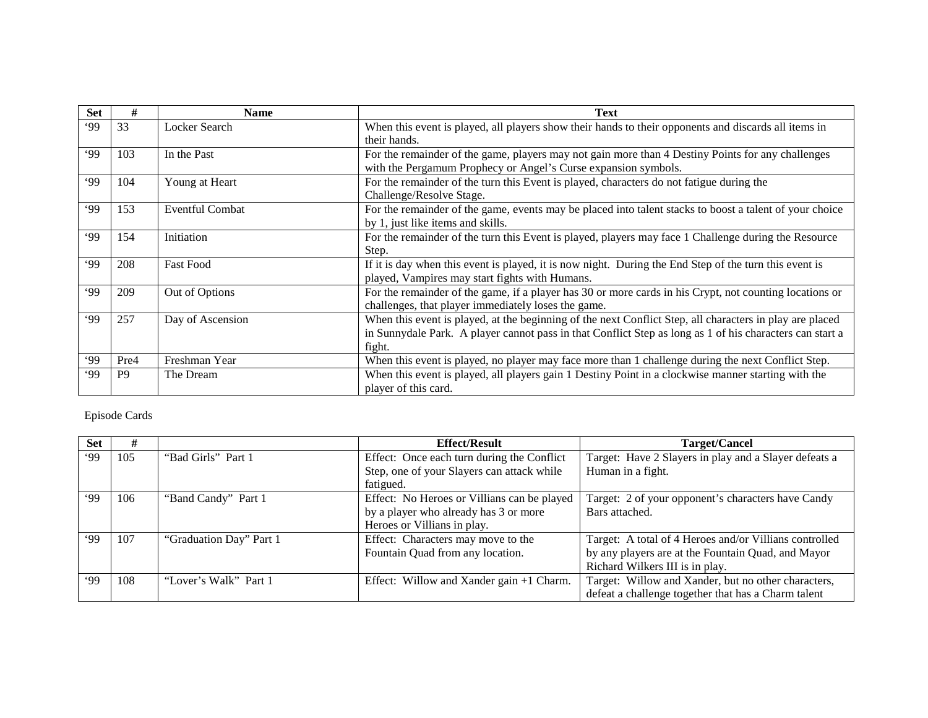| <b>Set</b> | #              | <b>Name</b>            | <b>Text</b>                                                                                              |  |
|------------|----------------|------------------------|----------------------------------------------------------------------------------------------------------|--|
| .99        | 33             | Locker Search          | When this event is played, all players show their hands to their opponents and discards all items in     |  |
|            |                |                        | their hands.                                                                                             |  |
| 99         | 103            | In the Past            | For the remainder of the game, players may not gain more than 4 Destiny Points for any challenges        |  |
|            |                |                        | with the Pergamum Prophecy or Angel's Curse expansion symbols.                                           |  |
| 99'        | 104            | Young at Heart         | For the remainder of the turn this Event is played, characters do not fatigue during the                 |  |
|            |                |                        | Challenge/Resolve Stage.                                                                                 |  |
| 99'        | 153            | <b>Eventful Combat</b> | For the remainder of the game, events may be placed into talent stacks to boost a talent of your choice  |  |
|            |                |                        | by 1, just like items and skills.                                                                        |  |
| 99'        | 154            | Initiation             | For the remainder of the turn this Event is played, players may face 1 Challenge during the Resource     |  |
|            |                |                        | Step.                                                                                                    |  |
| 99'        | 208            | <b>Fast Food</b>       | If it is day when this event is played, it is now night. During the End Step of the turn this event is   |  |
|            |                |                        | played, Vampires may start fights with Humans.                                                           |  |
| .99        | 209            | Out of Options         | For the remainder of the game, if a player has 30 or more cards in his Crypt, not counting locations or  |  |
|            |                |                        | challenges, that player immediately loses the game.                                                      |  |
| .99        | 257            | Day of Ascension       | When this event is played, at the beginning of the next Conflict Step, all characters in play are placed |  |
|            |                |                        | in Sunnydale Park. A player cannot pass in that Conflict Step as long as 1 of his characters can start a |  |
|            |                |                        | fight.                                                                                                   |  |
| .99        | Pre4           | Freshman Year          | When this event is played, no player may face more than 1 challenge during the next Conflict Step.       |  |
| 99         | P <sub>9</sub> | The Dream              | When this event is played, all players gain 1 Destiny Point in a clockwise manner starting with the      |  |
|            |                |                        | player of this card.                                                                                     |  |

## Episode Cards

| <b>Set</b> | #   |                         | <b>Effect/Result</b>                        | Target/Cancel                                          |
|------------|-----|-------------------------|---------------------------------------------|--------------------------------------------------------|
| .99        | 105 | "Bad Girls" Part 1      | Effect: Once each turn during the Conflict  | Target: Have 2 Slayers in play and a Slayer defeats a  |
|            |     |                         | Step, one of your Slayers can attack while  | Human in a fight.                                      |
|            |     |                         | fatigued.                                   |                                                        |
| 99         | 106 | "Band Candy" Part 1     | Effect: No Heroes or Villians can be played | Target: 2 of your opponent's characters have Candy     |
|            |     |                         | by a player who already has 3 or more       | Bars attached.                                         |
|            |     |                         | Heroes or Villians in play.                 |                                                        |
| 99'        | 107 | "Graduation Day" Part 1 | Effect: Characters may move to the          | Target: A total of 4 Heroes and/or Villians controlled |
|            |     |                         | Fountain Quad from any location.            | by any players are at the Fountain Quad, and Mayor     |
|            |     |                         |                                             | Richard Wilkers III is in play.                        |
| 99'        | 108 | "Lover's Walk" Part 1   | Effect: Willow and Xander gain +1 Charm.    | Target: Willow and Xander, but no other characters,    |
|            |     |                         |                                             | defeat a challenge together that has a Charm talent    |